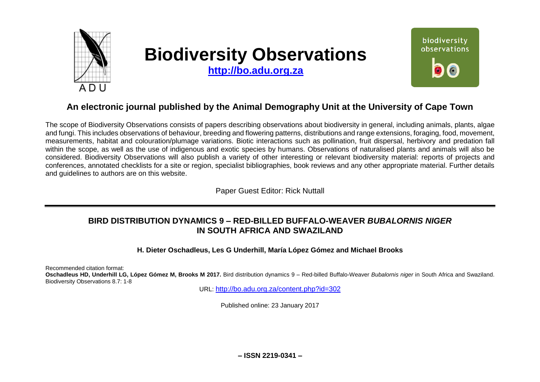

# **Biodiversity Observations**

**[http://bo.adu.org.za](http://bo.adu.org.za/)**



# **An electronic journal published by the Animal Demography Unit at the University of Cape Town**

The scope of Biodiversity Observations consists of papers describing observations about biodiversity in general, including animals, plants, algae and fungi. This includes observations of behaviour, breeding and flowering patterns, distributions and range extensions, foraging, food, movement, measurements, habitat and colouration/plumage variations. Biotic interactions such as pollination, fruit dispersal, herbivory and predation fall within the scope, as well as the use of indigenous and exotic species by humans. Observations of naturalised plants and animals will also be considered. Biodiversity Observations will also publish a variety of other interesting or relevant biodiversity material: reports of projects and conferences, annotated checklists for a site or region, specialist bibliographies, book reviews and any other appropriate material. Further details and guidelines to authors are on this website.

Paper Guest Editor: Rick Nuttall

# **BIRD DISTRIBUTION DYNAMICS 9 – RED-BILLED BUFFALO-WEAVER** *BUBALORNIS NIGER* **IN SOUTH AFRICA AND SWAZILAND**

**H. Dieter Oschadleus, Les G Underhill, María López Gómez and Michael Brooks**

Recommended citation format:

**Oschadleus HD, Underhill LG, López Gómez M, Brooks M 2017.** Bird distribution dynamics 9 – Red-billed Buffalo-Weaver *Bubalornis niger* in South Africa and Swaziland. Biodiversity Observations 8.7: 1-8

URL: <http://bo.adu.org.za/content.php?id=302>

Published online: 23 January 2017

**– ISSN 2219-0341 –**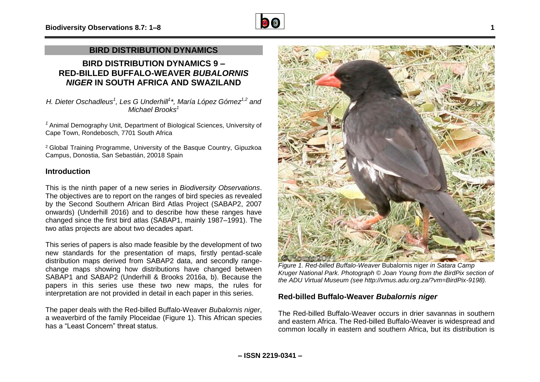

## **BIRD DISTRIBUTION DYNAMICS**

## **BIRD DISTRIBUTION DYNAMICS 9 – RED-BILLED BUFFALO-WEAVER** *BUBALORNIS NIGER* **IN SOUTH AFRICA AND SWAZILAND**

*H. Dieter Oschadleus<sup>1</sup> , Les G Underhill<sup>1</sup> \*, María López Gómez1,2 and Michael Brooks<sup>1</sup>*

*<sup>1</sup>* Animal Demography Unit, Department of Biological Sciences, University of Cape Town, Rondebosch, 7701 South Africa

<sup>2</sup> Global Training Programme, University of the Basque Country, Gipuzkoa Campus, Donostia, San Sebastián, 20018 Spain

#### **Introduction**

This is the ninth paper of a new series in *Biodiversity Observations*. The objectives are to report on the ranges of bird species as revealed by the Second Southern African Bird Atlas Project (SABAP2, 2007 onwards) (Underhill 2016) and to describe how these ranges have changed since the first bird atlas (SABAP1, mainly 1987–1991). The two atlas projects are about two decades apart.

This series of papers is also made feasible by the development of two new standards for the presentation of maps, firstly pentad-scale distribution maps derived from SABAP2 data, and secondly rangechange maps showing how distributions have changed between SABAP1 and SABAP2 (Underhill & Brooks 2016a, b). Because the papers in this series use these two new maps, the rules for interpretation are not provided in detail in each paper in this series.

The paper deals with the Red-billed Buffalo-Weaver *Bubalornis niger*, a weaverbird of the family Ploceidae (Figure 1). This African species has a "Least Concern" threat status.



*Figure 1. Red-billed Buffalo-Weaver* Bubalornis niger *in Satara Camp Kruger National Park. Photograph © Joan Young from the BirdPix section of the ADU Virtual Museum (see http://vmus.adu.org.za/?vm=BirdPix-9198).*

## **Red-billed Buffalo-Weaver** *Bubalornis niger*

The Red-billed Buffalo-Weaver occurs in drier savannas in southern and eastern Africa. The Red-billed Buffalo-Weaver is widespread and common locally in eastern and southern Africa, but its distribution is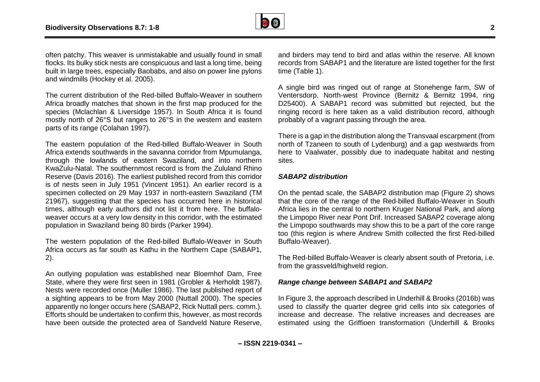

often patchy. This weaver is unmistakable and usually found in small flocks. Its bulky stick nests are conspicuous and last a long time, being built in large trees, especially Baobabs, and also on power line pylons and windmills (Hockey et al. 2005).

The current distribution of the Red-billed Buffalo-Weaver in southern Africa broadly matches that shown in the first map produced for the species (Mclachlan & Liversidge 1957). In South Africa it is found mostly north of 26°S but ranges to 26°S in the western and eastern parts of its range (Colahan 1997).

The eastern population of the Red-billed Buffalo-Weaver in South Africa extends southwards in the savanna corridor from Mpumulanga, through the lowlands of eastern Swaziland, and into northern KwaZulu-Natal. The southernmost record is from the Zululand Rhino Reserve (Davis 2016). The earliest published record from this corridor is of nests seen in July 1951 (Vincent 1951). An earlier record is a specimen collected on 29 May 1937 in north-eastern Swaziland (TM 21967), suggesting that the species has occurred here in historical times, although early authors did not list it from here. The buffaloweaver occurs at a very low density in this corridor, with the estimated population in Swaziland being 80 birds (Parker 1994).

The western population of the Red-billed Buffalo-Weaver in South Africa occurs as far south as Kathu in the Northern Cape (SABAP1, 2).

An outlying population was established near Bloemhof Dam, Free State, where they were first seen in 1981 (Grobler & Herholdt 1987). Nests were recorded once (Muller 1986). The last published report of a sighting appears to be from May 2000 (Nuttall 2000). The species apparently no longer occurs here (SABAP2, Rick Nuttall pers. comm.). Efforts should be undertaken to confirm this, however, as most records have been outside the protected area of Sandveld Nature Reserve,

and birders may tend to bird and atlas within the reserve. All known records from SABAP1 and the literature are listed together for the first time (Table 1).

A single bird was ringed out of range at Stonehenge farm, SW of Ventersdorp, North-west Province (Bernitz & Bernitz 1994, ring D25400). A SABAP1 record was submitted but rejected, but the ringing record is here taken as a valid distribution record, although probably of a vagrant passing through the area.

There is a gap in the distribution along the Transvaal escarpment (from north of Tzaneen to south of Lydenburg) and a gap westwards from here to Vaalwater, possibly due to inadequate habitat and nesting sites.

#### *SABAP2 distribution*

On the pentad scale, the SABAP2 distribution map (Figure 2) shows that the core of the range of the Red-billed Buffalo-Weaver in South Africa lies in the central to northern Kruger National Park, and along the Limpopo River near Pont Drif. Increased SABAP2 coverage along the Limpopo southwards may show this to be a part of the core range too (this region is where Andrew Smith collected the first Red-billed Buffalo-Weaver).

The Red-billed Buffalo-Weaver is clearly absent south of Pretoria, i.e. from the grassveld/highveld region.

#### *Range change between SABAP1 and SABAP2*

In Figure 3, the approach described in Underhill & Brooks (2016b) was used to classify the quarter degree grid cells into six categories of increase and decrease. The relative increases and decreases are estimated using the Griffioen transformation (Underhill & Brooks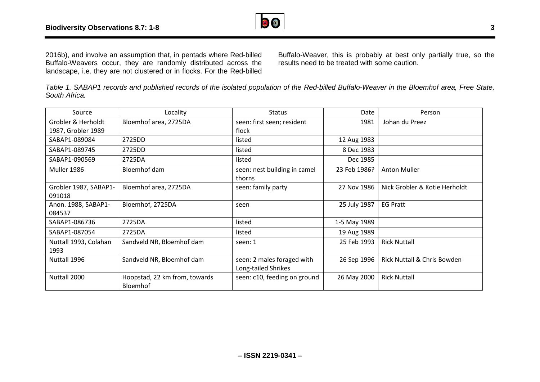

landscape, i.e. they are not clustered or in flocks. For the Red-billed

Buffalo-Weaver, this is probably at best only partially true, so the results need to be treated with some caution.

*Table 1. SABAP1 records and published records of the isolated population of the Red-billed Buffalo-Weaver in the Bloemhof area, Free State, South Africa.*

| Source                          | Locality                                         | <b>Status</b>                                     | Date         | Person                                 |
|---------------------------------|--------------------------------------------------|---------------------------------------------------|--------------|----------------------------------------|
| Grobler & Herholdt              | Bloemhof area, 2725DA                            | seen: first seen; resident                        | 1981         | Johan du Preez                         |
| 1987, Grobler 1989              |                                                  | flock                                             |              |                                        |
| SABAP1-089084                   | 2725DD                                           | listed                                            | 12 Aug 1983  |                                        |
| SABAP1-089745                   | 2725DD                                           | listed                                            | 8 Dec 1983   |                                        |
| SABAP1-090569                   | 2725DA                                           | listed                                            | Dec 1985     |                                        |
| Muller 1986                     | Bloemhof dam                                     | seen: nest building in camel<br>thorns            | 23 Feb 1986? | <b>Anton Muller</b>                    |
| Grobler 1987, SABAP1-<br>091018 | Bloemhof area, 2725DA                            | seen: family party                                | 27 Nov 1986  | Nick Grobler & Kotie Herholdt          |
| Anon. 1988, SABAP1-<br>084537   | Bloemhof, 2725DA                                 | seen                                              | 25 July 1987 | <b>EG Pratt</b>                        |
| SABAP1-086736                   | 2725DA                                           | listed                                            | 1-5 May 1989 |                                        |
| SABAP1-087054                   | 2725DA                                           | listed                                            | 19 Aug 1989  |                                        |
| Nuttall 1993, Colahan<br>1993   | Sandveld NR, Bloemhof dam                        | seen: 1                                           | 25 Feb 1993  | <b>Rick Nuttall</b>                    |
| Nuttall 1996                    | Sandveld NR, Bloemhof dam                        |                                                   | 26 Sep 1996  | <b>Rick Nuttall &amp; Chris Bowden</b> |
|                                 |                                                  | seen: 2 males foraged with<br>Long-tailed Shrikes |              |                                        |
| Nuttall 2000                    | Hoopstad, 22 km from, towards<br><b>Bloemhof</b> | seen: c10, feeding on ground                      | 26 May 2000  | <b>Rick Nuttall</b>                    |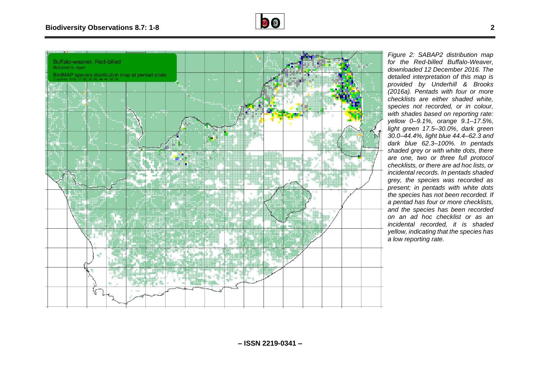



*Figure 2: SABAP2 distribution map for the Red-billed Buffalo-Weaver, downloaded 12 December 2016. The detailed interpretation of this map is provided by Underhill & Brooks (2016a). Pentads with four or more checklists are either shaded white, species not recorded, or in colour, with shades based on reporting rate: yellow 0–9.1%, orange 9.1–17.5%, light green 17.5–30.0%, dark green 30.0–44.4%, light blue 44.4–62.3 and dark blue 62.3–100%. In pentads shaded grey or with white dots, there are one, two or three full protocol checklists, or there are ad hoc lists, or incidental records. In pentads shaded grey, the species was recorded as present; in pentads with white dots the species has not been recorded. If a pentad has four or more checklists, and the species has been recorded on an ad hoc checklist or as an incidental recorded, it is shaded yellow, indicating that the species has a low reporting rate.*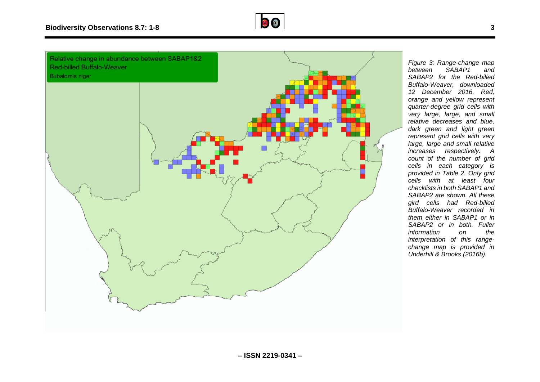



*Figure 3: Range-change map*   $SABAP1$ *SABAP2 for the Red-billed Buffalo-Weaver, downloaded 12 December 2016. Red, orange and yellow represent quarter-degree grid cells with very large, large, and small relative decreases and blue, dark green and light green represent grid cells with very large, large and small relative increases respectively. A count of the number of grid cells in each category is provided in Table 2. Only grid cells with at least four checklists in both SABAP1 and SABAP2 are shown. All these gird cells had Red-billed Buffalo-Weaver recorded in them either in SABAP1 or in SABAP2 or in both. Fuller information on the interpretation of this rangechange map is provided in Underhill & Brooks (2016b).*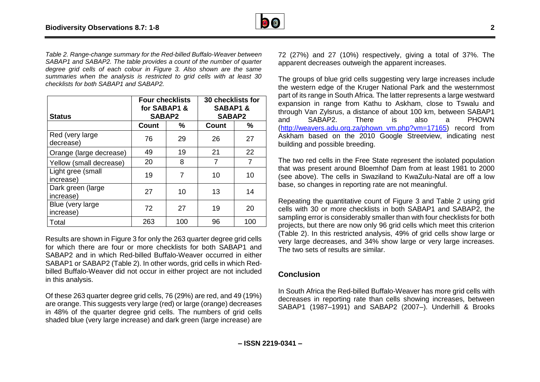

*Table 2. Range-change summary for the Red-billed Buffalo-Weaver between SABAP1 and SABAP2. The table provides a count of the number of quarter degree grid cells of each colour in Figure 3. Also shown are the same summaries when the analysis is restricted to grid cells with at least 30 checklists for both SABAP1 and SABAP2.*

| <b>Status</b>                  | <b>Four checklists</b><br>for SABAP1 &<br><b>SABAP2</b> |     | 30 checklists for<br><b>SABAP1&amp;</b><br><b>SABAP2</b> |     |
|--------------------------------|---------------------------------------------------------|-----|----------------------------------------------------------|-----|
|                                | Count                                                   | ℅   | Count                                                    | ℅   |
| Red (very large)<br>decrease)  | 76                                                      | 29  | 26                                                       | 27  |
| Orange (large decrease)        | 49                                                      | 19  | 21                                                       | 22  |
| Yellow (small decrease)        | 20                                                      | 8   | 7                                                        | 7   |
| Light gree (small<br>increase) | 19                                                      | 7   | 10                                                       | 10  |
| Dark green (large<br>increase) | 27                                                      | 10  | 13                                                       | 14  |
| Blue (very large<br>increase)  | 72                                                      | 27  | 19                                                       | 20  |
| Total                          | 263                                                     | 100 | 96                                                       | 100 |

Results are shown in Figure 3 for only the 263 quarter degree grid cells for which there are four or more checklists for both SABAP1 and SABAP2 and in which Red-billed Buffalo-Weaver occurred in either SABAP1 or SABAP2 (Table 2). In other words, grid cells in which Redbilled Buffalo-Weaver did not occur in either project are not included in this analysis.

Of these 263 quarter degree grid cells, 76 (29%) are red, and 49 (19%) are orange. This suggests very large (red) or large (orange) decreases in 48% of the quarter degree grid cells. The numbers of grid cells shaded blue (very large increase) and dark green (large increase) are 72 (27%) and 27 (10%) respectively, giving a total of 37%. The apparent decreases outweigh the apparent increases.

The groups of blue grid cells suggesting very large increases include the western edge of the Kruger National Park and the westernmost part of its range in South Africa. The latter represents a large westward expansion in range from Kathu to Askham, close to Tswalu and through Van Zylsrus, a distance of about 100 km, between SABAP1 and SABAP2. There is also a PHOWN [\(http://weavers.adu.org.za/phown\\_vm.php?vm=17165\)](http://weavers.adu.org.za/phown_vm.php?vm=17165) record from Askham based on the 2010 Google Streetview, indicating nest building and possible breeding.

The two red cells in the Free State represent the isolated population that was present around Bloemhof Dam from at least 1981 to 2000 (see above). The cells in Swaziland to KwaZulu-Natal are off a low base, so changes in reporting rate are not meaningful.

Repeating the quantitative count of Figure 3 and Table 2 using grid cells with 30 or more checklists in both SABAP1 and SABAP2, the sampling error is considerably smaller than with four checklists for both projects, but there are now only 96 grid cells which meet this criterion (Table 2). In this restricted analysis, 49% of grid cells show large or very large decreases, and 34% show large or very large increases. The two sets of results are similar.

## **Conclusion**

In South Africa the Red-billed Buffalo-Weaver has more grid cells with decreases in reporting rate than cells showing increases, between SABAP1 (1987–1991) and SABAP2 (2007–). Underhill & Brooks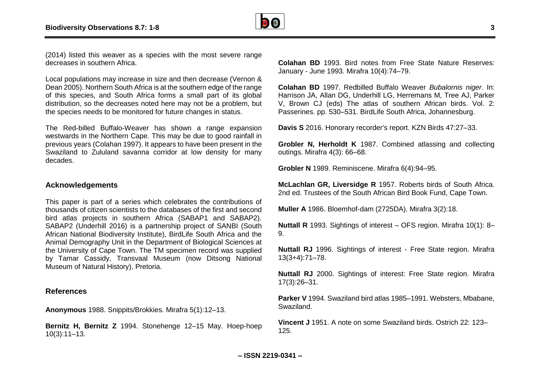

(2014) listed this weaver as a species with the most severe range decreases in southern Africa.

Local populations may increase in size and then decrease (Vernon & Dean 2005). Northern South Africa is at the southern edge of the range of this species, and South Africa forms a small part of its global distribution, so the decreases noted here may not be a problem, but the species needs to be monitored for future changes in status.

The Red-billed Buffalo-Weaver has shown a range expansion westwards in the Northern Cape. This may be due to good rainfall in previous years (Colahan 1997). It appears to have been present in the Swaziland to Zululand savanna corridor at low density for many decades.

#### **Acknowledgements**

This paper is part of a series which celebrates the contributions of thousands of citizen scientists to the databases of the first and second bird atlas projects in southern Africa (SABAP1 and SABAP2). SABAP2 (Underhill 2016) is a partnership project of SANBI (South African National Biodiversity Institute), BirdLife South Africa and the Animal Demography Unit in the Department of Biological Sciences at the University of Cape Town. The TM specimen record was supplied by Tamar Cassidy, Transvaal Museum (now Ditsong National Museum of Natural History), Pretoria.

#### **References**

**Anonymous** 1988. Snippits/Brokkies. Mirafra 5(1):12–13.

**Bernitz H, Bernitz Z** 1994. Stonehenge 12–15 May. Hoep-hoep 10(3):11–13.

**Colahan BD** 1993. Bird notes from Free State Nature Reserves: January - June 1993. Mirafra 10(4):74–79.

**Colahan BD** 1997. Redbilled Buffalo Weaver *Bubalornis niger*. In: Harrison JA, Allan DG, Underhill LG, Herremans M, Tree AJ, Parker V, Brown CJ (eds) The atlas of southern African birds. Vol. 2: Passerines. pp. 530–531. BirdLife South Africa, Johannesburg.

**Davis S** 2016. Honorary recorder's report. KZN Birds 47:27–33.

**Grobler N, Herholdt K** 1987. Combined atlassing and collecting outings. Mirafra 4(3): 66–68.

**Grobler N** 1989. Reminiscene. Mirafra 6(4):94–95.

**McLachlan GR, Liversidge R** 1957. Roberts birds of South Africa. 2nd ed. Trustees of the South African Bird Book Fund, Cape Town.

**Muller A** 1986. Bloemhof-dam (2725DA). Mirafra 3(2):18.

**Nuttall R** 1993. Sightings of interest – OFS region. Mirafra 10(1): 8– 9.

**Nuttall RJ** 1996. Sightings of interest - Free State region. Mirafra 13(3+4):71–78.

**Nuttall RJ** 2000. Sightings of interest: Free State region. Mirafra 17(3):26–31.

**Parker V** 1994. Swaziland bird atlas 1985–1991. Websters, Mbabane, Swaziland.

**Vincent J** 1951. A note on some Swaziland birds. Ostrich 22: 123– 125.